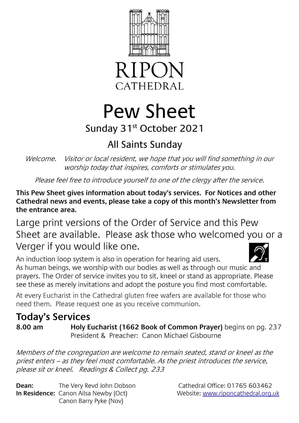



# Pew Sheet

# Sunday 31st October 2021

# All Saints Sunday

Welcome. Visitor or local resident, we hope that you will find something in our worship today that inspires, comforts or stimulates you.

Please feel free to introduce yourself to one of the clergy after the service.

**This Pew Sheet gives information about today's services. For Notices and other Cathedral news and events, please take a copy of this month's Newsletter from the entrance area.** 

Large print versions of the Order of Service and this Pew Sheet are available. Please ask those who welcomed you or a Verger if you would like one.

An induction loop system is also in operation for hearing aid users. As human beings, we worship with our bodies as well as through our music and prayers. The Order of service invites you to sit, kneel or stand as appropriate. Please see these as merely invitations and adopt the posture you find most comfortable.

At every Eucharist in the Cathedral gluten free wafers are available for those who need them. Please request one as you receive communion.

## **Today's Services 8.00 am Holy Eucharist (1662 Book of Common Prayer)** begins on pg. 237 President & Preacher: Canon Michael Gisbourne

Members of the congregation are welcome to remain seated, stand or kneel as the priest enters – as they feel most comfortable. As the priest introduces the service, please sit or kneel. Readings & Collect pg. 233

**Dean:** The Very Revd John Dobson Cathedral Office: 01765 603462 **In Residence:** Canon Ailsa Newby (Oct) Website[: www.riponcathedral.org.uk](http://www.riponcathedral.org.uk/) Canon Barry Pyke (Nov)